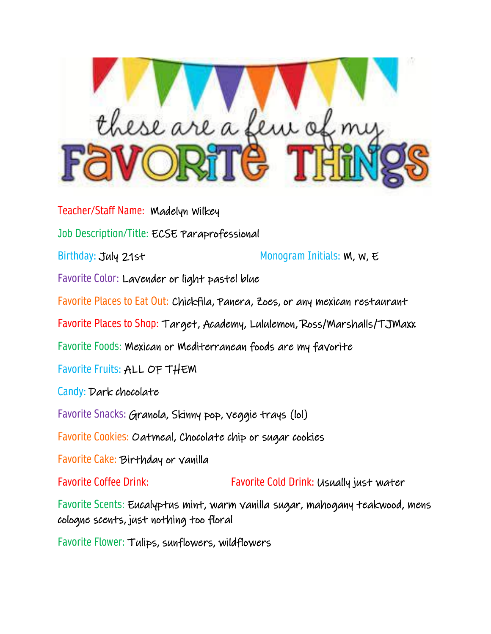

Teacher/Staff Name: Madelyn Wilkey Job Description/Title: ECSE Paraprofessional Birthday: July 21st Monogram Initials: W, W, E Favorite Color: Lavender or light pastel blue Favorite Places to Eat Out: Chickfila, Panera, Zoes, or any mexican restaurant Favorite Places to Shop: Target, Academy, Lululemon, Ross/Marshalls/TJMaxx Favorite Foods: Mexican or Mediterranean foods are my favorite Favorite Fruits: ALL OF THEM Candy: Dark chocolate Favorite Snacks: Granola, Skinny pop, veggie trays (lol) Favorite Cookies: Oatmeal, Chocolate chip or sugar cookies Favorite Cake: Birthday or vanilla Favorite Coffee Drink: Favorite Cold Drink: Usually just water Favorite Scents: Eucalyptus mint, warm vanilla sugar, mahogany teakwood, mens cologne scents, just nothing too floral

Favorite Flower: Tulips, sunflowers, wildflowers